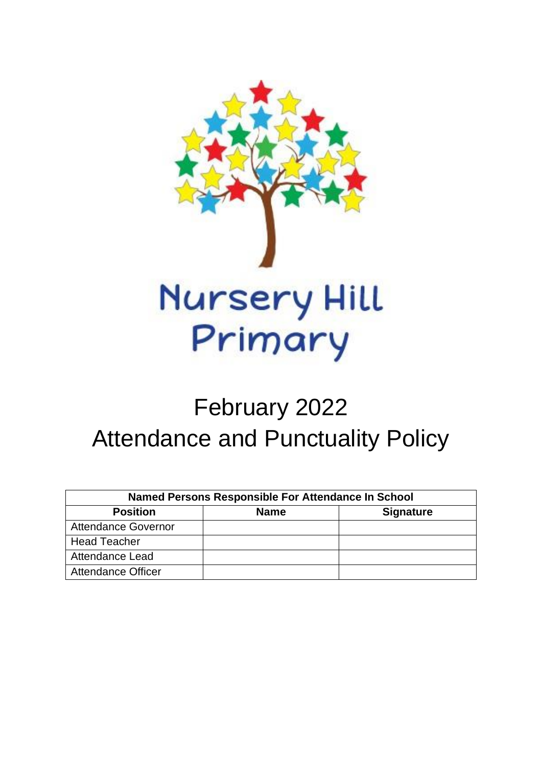

# February 2022 Attendance and Punctuality Policy

| <b>Named Persons Responsible For Attendance In School</b> |             |                  |  |
|-----------------------------------------------------------|-------------|------------------|--|
| <b>Position</b>                                           | <b>Name</b> | <b>Signature</b> |  |
| <b>Attendance Governor</b>                                |             |                  |  |
| <b>Head Teacher</b>                                       |             |                  |  |
| <b>Attendance Lead</b>                                    |             |                  |  |
| <b>Attendance Officer</b>                                 |             |                  |  |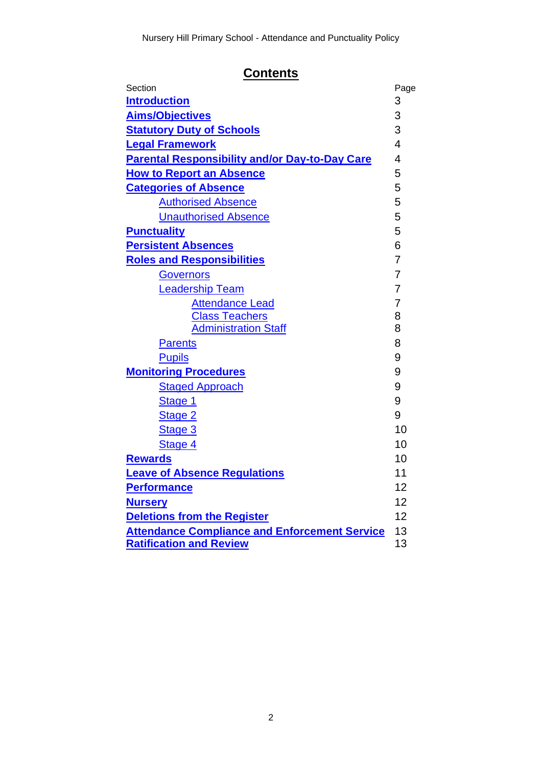# **Contents**

| Section                                               | Page           |
|-------------------------------------------------------|----------------|
| <b>Introduction</b>                                   | 3              |
| <b>Aims/Objectives</b>                                | 3              |
| <b>Statutory Duty of Schools</b>                      |                |
| <b>Legal Framework</b>                                | $\overline{4}$ |
| <b>Parental Responsibility and/or Day-to-Day Care</b> | $\overline{4}$ |
| <b>How to Report an Absence</b>                       | 5              |
| <b>Categories of Absence</b>                          | 5              |
| <b>Authorised Absence</b>                             | 5              |
| <b>Unauthorised Absence</b>                           | 5              |
| <b>Punctuality</b>                                    | 5              |
| <b>Persistent Absences</b>                            | 6              |
| <b>Roles and Responsibilities</b>                     | $\overline{7}$ |
| <b>Governors</b>                                      | $\overline{7}$ |
| <b>Leadership Team</b>                                | $\overline{7}$ |
| <b>Attendance Lead</b>                                | 7              |
| <b>Class Teachers</b>                                 | 8              |
| <b>Administration Staff</b>                           | 8              |
| <b>Parents</b>                                        | 8              |
| <b>Pupils</b>                                         | 9              |
| <b>Monitoring Procedures</b>                          | 9              |
| <b>Staged Approach</b>                                | 9              |
| Stage 1                                               | 9              |
| Stage 2                                               | 9              |
| Stage 3                                               | 10             |
| Stage 4                                               | 10             |
| <b>Rewards</b>                                        | 10             |
| <b>Leave of Absence Regulations</b>                   | 11             |
| <b>Performance</b>                                    | 12             |
| <b>Nursery</b>                                        |                |
| <b>Deletions from the Register</b>                    |                |
| <b>Attendance Compliance and Enforcement Service</b>  |                |
| <b>Ratification and Review</b>                        |                |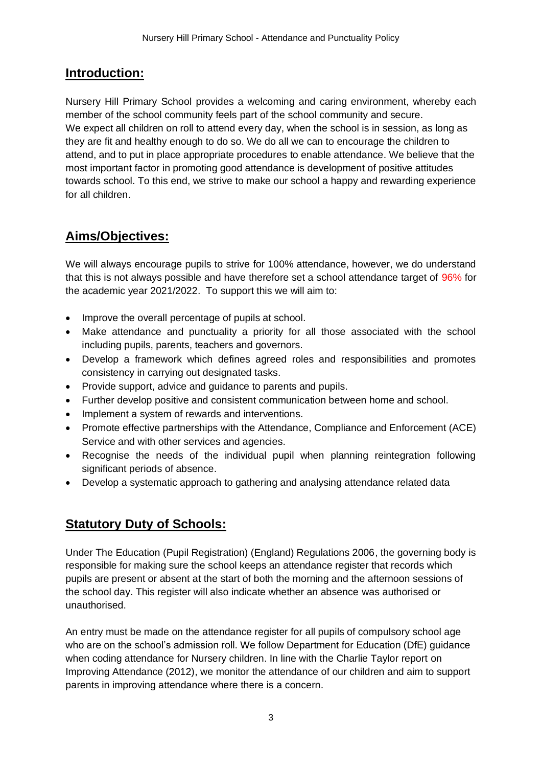## <span id="page-2-0"></span>**Introduction:**

Nursery Hill Primary School provides a welcoming and caring environment, whereby each member of the school community feels part of the school community and secure. We expect all children on roll to attend every day, when the school is in session, as long as they are fit and healthy enough to do so. We do all we can to encourage the children to attend, and to put in place appropriate procedures to enable attendance. We believe that the most important factor in promoting good attendance is development of positive attitudes towards school. To this end, we strive to make our school a happy and rewarding experience for all children.

## <span id="page-2-1"></span>**Aims/Objectives:**

We will always encourage pupils to strive for 100% attendance, however, we do understand that this is not always possible and have therefore set a school attendance target of 96% for the academic year 2021/2022. To support this we will aim to:

- Improve the overall percentage of pupils at school.
- Make attendance and punctuality a priority for all those associated with the school including pupils, parents, teachers and governors.
- Develop a framework which defines agreed roles and responsibilities and promotes consistency in carrying out designated tasks.
- Provide support, advice and guidance to parents and pupils.
- Further develop positive and consistent communication between home and school.
- Implement a system of rewards and interventions.
- Promote effective partnerships with the Attendance, Compliance and Enforcement (ACE) Service and with other services and agencies.
- Recognise the needs of the individual pupil when planning reintegration following significant periods of absence.
- Develop a systematic approach to gathering and analysing attendance related data

## <span id="page-2-2"></span>**Statutory Duty of Schools:**

Under The Education (Pupil Registration) (England) Regulations 2006, the governing body is responsible for making sure the school keeps an attendance register that records which pupils are present or absent at the start of both the morning and the afternoon sessions of the school day. This register will also indicate whether an absence was authorised or unauthorised.

An entry must be made on the attendance register for all pupils of compulsory school age who are on the school's admission roll. We follow Department for Education (DfE) guidance when coding attendance for Nursery children. In line with the Charlie Taylor report on Improving Attendance (2012), we monitor the attendance of our children and aim to support parents in improving attendance where there is a concern.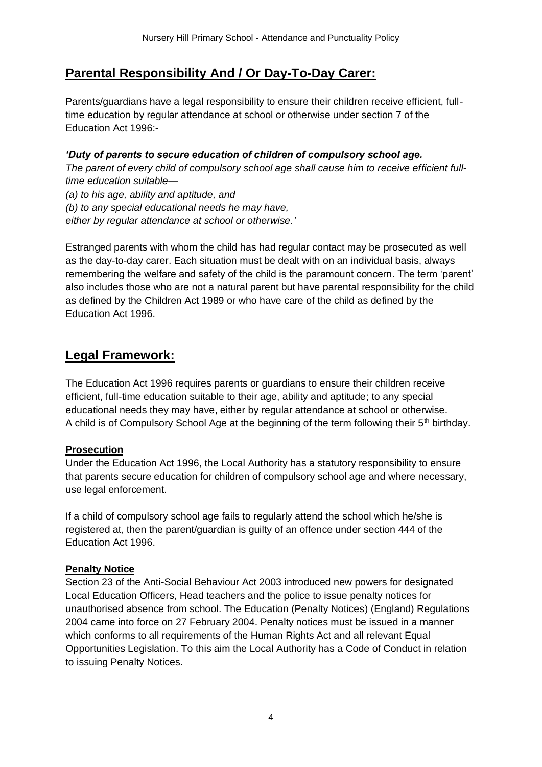## <span id="page-3-1"></span>**Parental Responsibility And / Or Day-To-Day Carer:**

Parents/guardians have a legal responsibility to ensure their children receive efficient, fulltime education by regular attendance at school or otherwise under section 7 of the Education Act 1996:-

#### *'Duty of parents to secure education of children of compulsory school age.*

*The parent of every child of compulsory school age shall cause him to receive efficient fulltime education suitable—*

*(a) to his age, ability and aptitude, and (b) to any special educational needs he may have, either by regular attendance at school or otherwise.'*

Estranged parents with whom the child has had regular contact may be prosecuted as well as the day-to-day carer. Each situation must be dealt with on an individual basis, always remembering the welfare and safety of the child is the paramount concern. The term 'parent' also includes those who are not a natural parent but have parental responsibility for the child as defined by the Children Act 1989 or who have care of the child as defined by the Education Act 1996.

## <span id="page-3-0"></span>**Legal Framework:**

The Education Act 1996 requires parents or guardians to ensure their children receive efficient, full-time education suitable to their age, ability and aptitude; to any special educational needs they may have, either by regular attendance at school or otherwise. A child is of Compulsory School Age at the beginning of the term following their  $5<sup>th</sup>$  birthday.

#### **Prosecution**

Under the Education Act 1996, the Local Authority has a statutory responsibility to ensure that parents secure education for children of compulsory school age and where necessary, use legal enforcement.

If a child of compulsory school age fails to regularly attend the school which he/she is registered at, then the parent/guardian is guilty of an offence under section 444 of the Education Act 1996.

#### **Penalty Notice**

Section 23 of the Anti-Social Behaviour Act 2003 introduced new powers for designated Local Education Officers, Head teachers and the police to issue penalty notices for unauthorised absence from school. The Education (Penalty Notices) (England) Regulations 2004 came into force on 27 February 2004. Penalty notices must be issued in a manner which conforms to all requirements of the Human Rights Act and all relevant Equal Opportunities Legislation. To this aim the Local Authority has a Code of Conduct in relation to issuing Penalty Notices.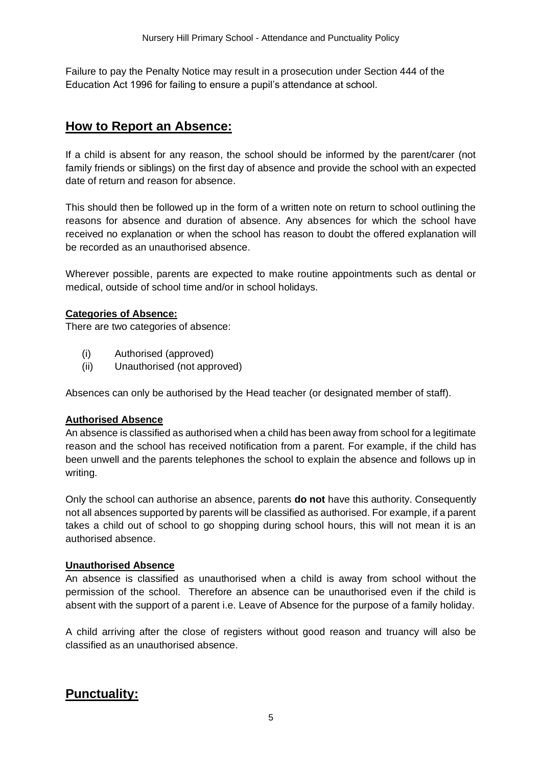Failure to pay the Penalty Notice may result in a prosecution under Section 444 of the Education Act 1996 for failing to ensure a pupil's attendance at school.

## <span id="page-4-0"></span>**How to Report an Absence:**

If a child is absent for any reason, the school should be informed by the parent/carer (not family friends or siblings) on the first day of absence and provide the school with an expected date of return and reason for absence.

This should then be followed up in the form of a written note on return to school outlining the reasons for absence and duration of absence. Any absences for which the school have received no explanation or when the school has reason to doubt the offered explanation will be recorded as an unauthorised absence.

Wherever possible, parents are expected to make routine appointments such as dental or medical, outside of school time and/or in school holidays.

#### <span id="page-4-1"></span>**Categories of Absence:**

There are two categories of absence:

- (i) Authorised (approved)
- (ii) Unauthorised (not approved)

Absences can only be authorised by the Head teacher (or designated member of staff).

#### <span id="page-4-2"></span>**Authorised Absence**

An absence is classified as authorised when a child has been away from school for a legitimate reason and the school has received notification from a parent. For example, if the child has been unwell and the parents telephones the school to explain the absence and follows up in writing.

Only the school can authorise an absence, parents **do not** have this authority. Consequently not all absences supported by parents will be classified as authorised. For example, if a parent takes a child out of school to go shopping during school hours, this will not mean it is an authorised absence.

#### <span id="page-4-3"></span>**Unauthorised Absence**

An absence is classified as unauthorised when a child is away from school without the permission of the school. Therefore an absence can be unauthorised even if the child is absent with the support of a parent i.e. Leave of Absence for the purpose of a family holiday.

<span id="page-4-4"></span>A child arriving after the close of registers without good reason and truancy will also be classified as an unauthorised absence.

## **Punctuality:**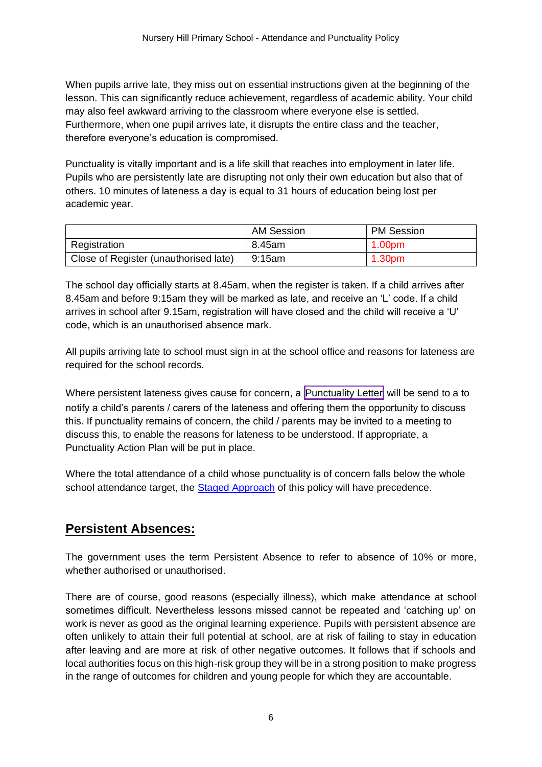When pupils arrive late, they miss out on essential instructions given at the beginning of the lesson. This can significantly reduce achievement, regardless of academic ability. Your child may also feel awkward arriving to the classroom where everyone else is settled. Furthermore, when one pupil arrives late, it disrupts the entire class and the teacher, therefore everyone's education is compromised.

Punctuality is vitally important and is a life skill that reaches into employment in later life. Pupils who are persistently late are disrupting not only their own education but also that of others. 10 minutes of lateness a day is equal to 31 hours of education being lost per academic year.

|                                       | <b>AM Session</b> | <b>PM Session</b> |
|---------------------------------------|-------------------|-------------------|
| Registration                          | 8.45am            | 1.00pm            |
| Close of Register (unauthorised late) | 9:15am            | 1.30pm            |

The school day officially starts at 8.45am, when the register is taken. If a child arrives after 8.45am and before 9:15am they will be marked as late, and receive an 'L' code. If a child arrives in school after 9.15am, registration will have closed and the child will receive a 'U' code, which is an unauthorised absence mark.

All pupils arriving late to school must sign in at the school office and reasons for lateness are required for the school records.

Where persistent lateness gives cause for concern, a Punctuality Letter will be send to a to notify a child's parents / carers of the lateness and offering them the opportunity to discuss this. If punctuality remains of concern, the child / parents may be invited to a meeting to discuss this, to enable the reasons for lateness to be understood. If appropriate, a Punctuality Action Plan will be put in place.

Where the total attendance of a child whose punctuality is of concern falls below the whole school attendance target, the [Staged Approach](#page-8-2) of this policy will have precedence.

## <span id="page-5-0"></span>**Persistent Absences:**

The government uses the term Persistent Absence to refer to absence of 10% or more, whether authorised or unauthorised.

There are of course, good reasons (especially illness), which make attendance at school sometimes difficult. Nevertheless lessons missed cannot be repeated and 'catching up' on work is never as good as the original learning experience. Pupils with persistent absence are often unlikely to attain their full potential at school, are at risk of failing to stay in education after leaving and are more at risk of other negative outcomes. It follows that if schools and local authorities focus on this high-risk group they will be in a strong position to make progress in the range of outcomes for children and young people for which they are accountable.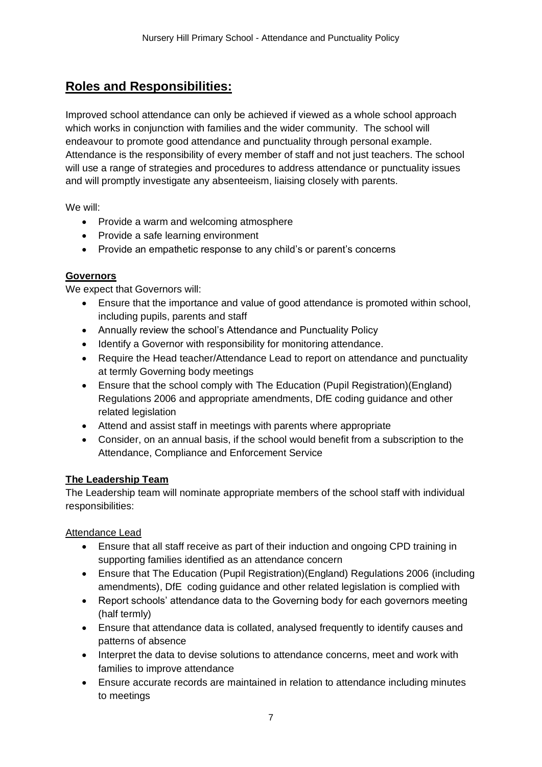## <span id="page-6-0"></span>**Roles and Responsibilities:**

Improved school attendance can only be achieved if viewed as a whole school approach which works in conjunction with families and the wider community. The school will endeavour to promote good attendance and punctuality through personal example. Attendance is the responsibility of every member of staff and not just teachers. The school will use a range of strategies and procedures to address attendance or punctuality issues and will promptly investigate any absenteeism, liaising closely with parents.

We will:

- Provide a warm and welcoming atmosphere
- Provide a safe learning environment
- Provide an empathetic response to any child's or parent's concerns

#### <span id="page-6-1"></span>**Governors**

We expect that Governors will:

- Ensure that the importance and value of good attendance is promoted within school, including pupils, parents and staff
- Annually review the school's Attendance and Punctuality Policy
- Identify a Governor with responsibility for monitoring attendance.
- Require the Head teacher/Attendance Lead to report on attendance and punctuality at termly Governing body meetings
- Ensure that the school comply with The Education (Pupil Registration)(England) Regulations 2006 and appropriate amendments, DfE coding guidance and other related legislation
- Attend and assist staff in meetings with parents where appropriate
- Consider, on an annual basis, if the school would benefit from a subscription to the Attendance, Compliance and Enforcement Service

#### <span id="page-6-2"></span>**The Leadership Team**

The Leadership team will nominate appropriate members of the school staff with individual responsibilities:

<span id="page-6-3"></span>Attendance Lead

- Ensure that all staff receive as part of their induction and ongoing CPD training in supporting families identified as an attendance concern
- Ensure that The Education (Pupil Registration)(England) Regulations 2006 (including amendments), DfE coding guidance and other related legislation is complied with
- Report schools' attendance data to the Governing body for each governors meeting (half termly)
- Ensure that attendance data is collated, analysed frequently to identify causes and patterns of absence
- Interpret the data to devise solutions to attendance concerns, meet and work with families to improve attendance
- Ensure accurate records are maintained in relation to attendance including minutes to meetings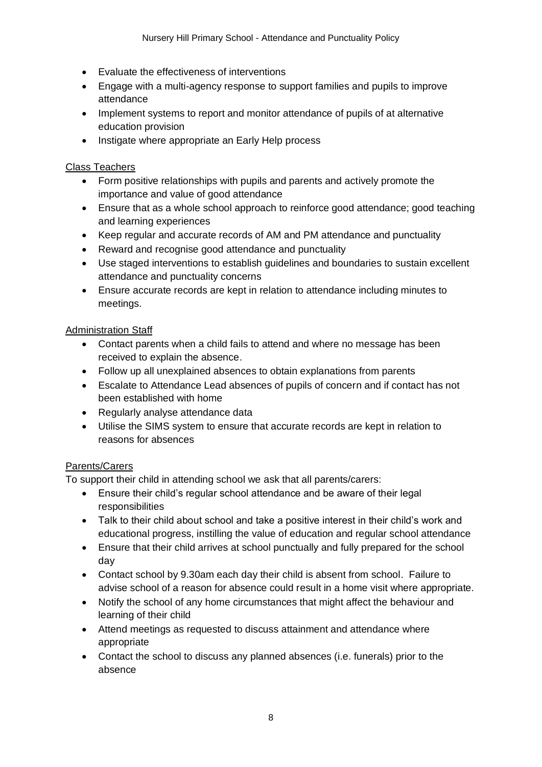- Evaluate the effectiveness of interventions
- Engage with a multi-agency response to support families and pupils to improve attendance
- Implement systems to report and monitor attendance of pupils of at alternative education provision
- Instigate where appropriate an Early Help process

#### <span id="page-7-0"></span>Class Teachers

- Form positive relationships with pupils and parents and actively promote the importance and value of good attendance
- Ensure that as a whole school approach to reinforce good attendance; good teaching and learning experiences
- Keep regular and accurate records of AM and PM attendance and punctuality
- Reward and recognise good attendance and punctuality
- Use staged interventions to establish guidelines and boundaries to sustain excellent attendance and punctuality concerns
- Ensure accurate records are kept in relation to attendance including minutes to meetings.

#### <span id="page-7-1"></span>Administration Staff

- Contact parents when a child fails to attend and where no message has been received to explain the absence.
- Follow up all unexplained absences to obtain explanations from parents
- Escalate to Attendance Lead absences of pupils of concern and if contact has not been established with home
- Regularly analyse attendance data
- Utilise the SIMS system to ensure that accurate records are kept in relation to reasons for absences

#### <span id="page-7-2"></span>Parents/Carers

To support their child in attending school we ask that all parents/carers:

- Ensure their child's regular school attendance and be aware of their legal responsibilities
- Talk to their child about school and take a positive interest in their child's work and educational progress, instilling the value of education and regular school attendance
- Ensure that their child arrives at school punctually and fully prepared for the school day
- Contact school by 9.30am each day their child is absent from school. Failure to advise school of a reason for absence could result in a home visit where appropriate.
- Notify the school of any home circumstances that might affect the behaviour and learning of their child
- Attend meetings as requested to discuss attainment and attendance where appropriate
- Contact the school to discuss any planned absences (i.e. funerals) prior to the absence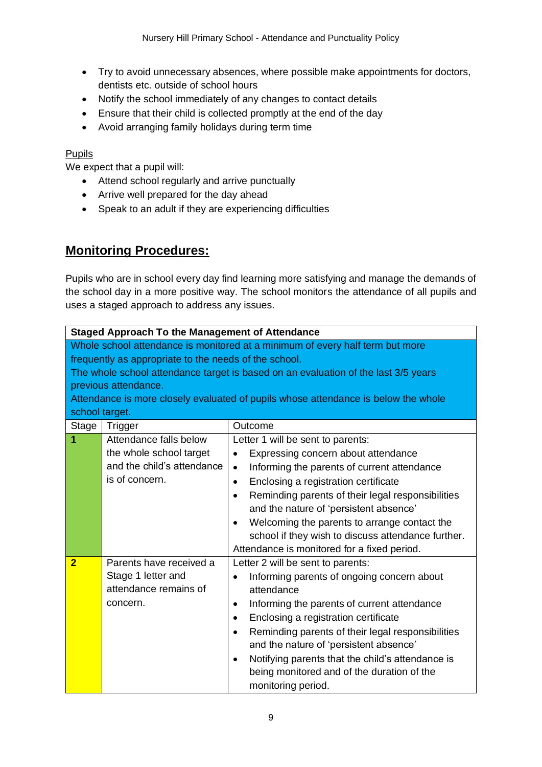- Try to avoid unnecessary absences, where possible make appointments for doctors, dentists etc. outside of school hours
- Notify the school immediately of any changes to contact details
- Ensure that their child is collected promptly at the end of the day
- Avoid arranging family holidays during term time

#### <span id="page-8-0"></span>Pupils

We expect that a pupil will:

- Attend school regularly and arrive punctually
- Arrive well prepared for the day ahead
- Speak to an adult if they are experiencing difficulties

## <span id="page-8-1"></span>**Monitoring Procedures:**

Pupils who are in school every day find learning more satisfying and manage the demands of the school day in a more positive way. The school monitors the attendance of all pupils and uses a staged approach to address any issues.

<span id="page-8-4"></span><span id="page-8-3"></span><span id="page-8-2"></span>

|                                                                                                                                                                                                                                                                                                                                                              | <b>Staged Approach To the Management of Attendance</b>                                            |                                                                                                                                                                                                                                                                                                                                                                                                                                                                         |  |
|--------------------------------------------------------------------------------------------------------------------------------------------------------------------------------------------------------------------------------------------------------------------------------------------------------------------------------------------------------------|---------------------------------------------------------------------------------------------------|-------------------------------------------------------------------------------------------------------------------------------------------------------------------------------------------------------------------------------------------------------------------------------------------------------------------------------------------------------------------------------------------------------------------------------------------------------------------------|--|
| Whole school attendance is monitored at a minimum of every half term but more<br>frequently as appropriate to the needs of the school.<br>The whole school attendance target is based on an evaluation of the last 3/5 years<br>previous attendance.<br>Attendance is more closely evaluated of pupils whose attendance is below the whole<br>school target. |                                                                                                   |                                                                                                                                                                                                                                                                                                                                                                                                                                                                         |  |
| <b>Stage</b>                                                                                                                                                                                                                                                                                                                                                 | Trigger                                                                                           | Outcome                                                                                                                                                                                                                                                                                                                                                                                                                                                                 |  |
| 1                                                                                                                                                                                                                                                                                                                                                            | Attendance falls below<br>the whole school target<br>and the child's attendance<br>is of concern. | Letter 1 will be sent to parents:<br>Expressing concern about attendance<br>$\bullet$<br>Informing the parents of current attendance<br>$\bullet$<br>Enclosing a registration certificate<br>$\bullet$<br>Reminding parents of their legal responsibilities<br>and the nature of 'persistent absence'<br>Welcoming the parents to arrange contact the<br>$\bullet$<br>school if they wish to discuss attendance further.<br>Attendance is monitored for a fixed period. |  |
| $\overline{2}$                                                                                                                                                                                                                                                                                                                                               | Parents have received a<br>Stage 1 letter and<br>attendance remains of<br>concern.                | Letter 2 will be sent to parents:<br>Informing parents of ongoing concern about<br>$\bullet$<br>attendance<br>Informing the parents of current attendance<br>$\bullet$<br>Enclosing a registration certificate<br>Reminding parents of their legal responsibilities<br>$\bullet$<br>and the nature of 'persistent absence'<br>Notifying parents that the child's attendance is<br>being monitored and of the duration of the<br>monitoring period.                      |  |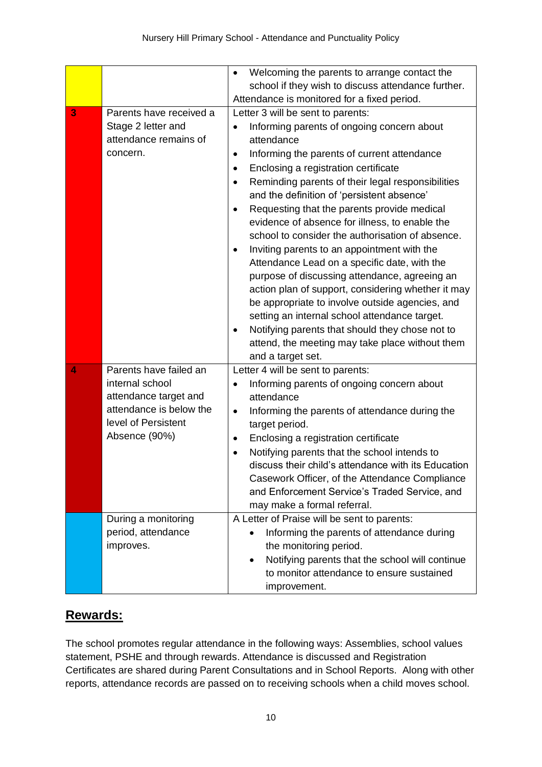<span id="page-9-0"></span>

|   |                                                                                                             | Welcoming the parents to arrange contact the<br>school if they wish to discuss attendance further.<br>Attendance is monitored for a fixed period.                                                                                                                                                                                                                                                                                                                                                                                                                                                                                                                                                                                                                                                                                                                                                |
|---|-------------------------------------------------------------------------------------------------------------|--------------------------------------------------------------------------------------------------------------------------------------------------------------------------------------------------------------------------------------------------------------------------------------------------------------------------------------------------------------------------------------------------------------------------------------------------------------------------------------------------------------------------------------------------------------------------------------------------------------------------------------------------------------------------------------------------------------------------------------------------------------------------------------------------------------------------------------------------------------------------------------------------|
| 3 | Parents have received a                                                                                     | Letter 3 will be sent to parents:                                                                                                                                                                                                                                                                                                                                                                                                                                                                                                                                                                                                                                                                                                                                                                                                                                                                |
|   | Stage 2 letter and<br>attendance remains of<br>concern.                                                     | Informing parents of ongoing concern about<br>attendance<br>Informing the parents of current attendance<br>$\bullet$<br>Enclosing a registration certificate<br>$\bullet$<br>Reminding parents of their legal responsibilities<br>$\bullet$<br>and the definition of 'persistent absence'<br>Requesting that the parents provide medical<br>evidence of absence for illness, to enable the<br>school to consider the authorisation of absence.<br>Inviting parents to an appointment with the<br>$\bullet$<br>Attendance Lead on a specific date, with the<br>purpose of discussing attendance, agreeing an<br>action plan of support, considering whether it may<br>be appropriate to involve outside agencies, and<br>setting an internal school attendance target.<br>Notifying parents that should they chose not to<br>attend, the meeting may take place without them<br>and a target set. |
| 4 | Parents have failed an                                                                                      | Letter 4 will be sent to parents:                                                                                                                                                                                                                                                                                                                                                                                                                                                                                                                                                                                                                                                                                                                                                                                                                                                                |
|   | internal school<br>attendance target and<br>attendance is below the<br>level of Persistent<br>Absence (90%) | Informing parents of ongoing concern about<br>$\bullet$<br>attendance<br>Informing the parents of attendance during the<br>$\bullet$<br>target period.<br>Enclosing a registration certificate<br>$\bullet$<br>Notifying parents that the school intends to<br>discuss their child's attendance with its Education<br>Casework Officer, of the Attendance Compliance<br>and Enforcement Service's Traded Service, and<br>may make a formal referral.                                                                                                                                                                                                                                                                                                                                                                                                                                             |
|   | During a monitoring<br>period, attendance<br>improves.                                                      | A Letter of Praise will be sent to parents:<br>Informing the parents of attendance during<br>the monitoring period.<br>Notifying parents that the school will continue<br>to monitor attendance to ensure sustained<br>improvement.                                                                                                                                                                                                                                                                                                                                                                                                                                                                                                                                                                                                                                                              |

## <span id="page-9-2"></span><span id="page-9-1"></span>**Rewards:**

The school promotes regular attendance in the following ways: Assemblies, school values statement, PSHE and through rewards. Attendance is discussed and Registration Certificates are shared during Parent Consultations and in School Reports. Along with other reports, attendance records are passed on to receiving schools when a child moves school.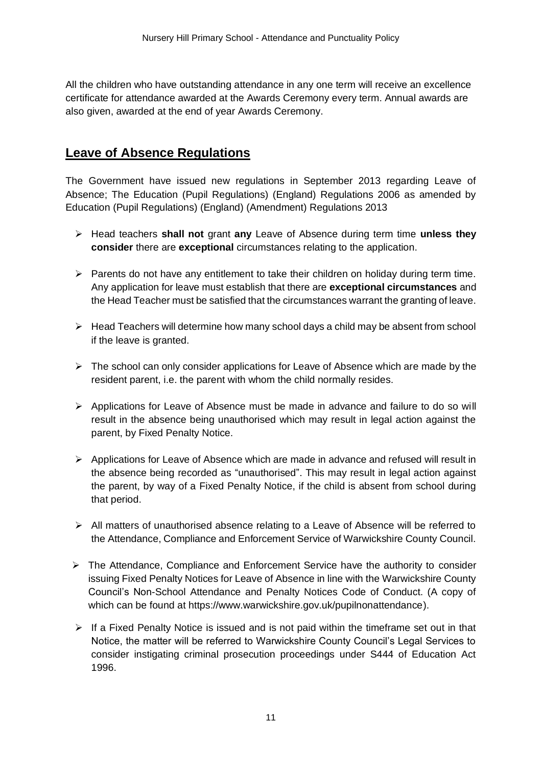All the children who have outstanding attendance in any one term will receive an excellence certificate for attendance awarded at the Awards Ceremony every term. Annual awards are also given, awarded at the end of year Awards Ceremony.

## <span id="page-10-0"></span>**Leave of Absence Regulations**

The Government have issued new regulations in September 2013 regarding Leave of Absence; The Education (Pupil Regulations) (England) Regulations 2006 as amended by Education (Pupil Regulations) (England) (Amendment) Regulations 2013

- ➢ Head teachers **shall not** grant **any** Leave of Absence during term time **unless they consider** there are **exceptional** circumstances relating to the application.
- ➢ Parents do not have any entitlement to take their children on holiday during term time. Any application for leave must establish that there are **exceptional circumstances** and the Head Teacher must be satisfied that the circumstances warrant the granting of leave.
- $\triangleright$  Head Teachers will determine how many school days a child may be absent from school if the leave is granted.
- $\triangleright$  The school can only consider applications for Leave of Absence which are made by the resident parent, i.e. the parent with whom the child normally resides.
- $\triangleright$  Applications for Leave of Absence must be made in advance and failure to do so will result in the absence being unauthorised which may result in legal action against the parent, by Fixed Penalty Notice.
- $\triangleright$  Applications for Leave of Absence which are made in advance and refused will result in the absence being recorded as "unauthorised". This may result in legal action against the parent, by way of a Fixed Penalty Notice, if the child is absent from school during that period.
- ➢ All matters of unauthorised absence relating to a Leave of Absence will be referred to the Attendance, Compliance and Enforcement Service of Warwickshire County Council.
- ➢ The Attendance, Compliance and Enforcement Service have the authority to consider issuing Fixed Penalty Notices for Leave of Absence in line with the Warwickshire County Council's Non-School Attendance and Penalty Notices Code of Conduct. (A copy of which can be found at https://www.warwickshire.gov.uk/pupilnonattendance).
- $\triangleright$  If a Fixed Penalty Notice is issued and is not paid within the timeframe set out in that Notice, the matter will be referred to Warwickshire County Council's Legal Services to consider instigating criminal prosecution proceedings under S444 of Education Act 1996.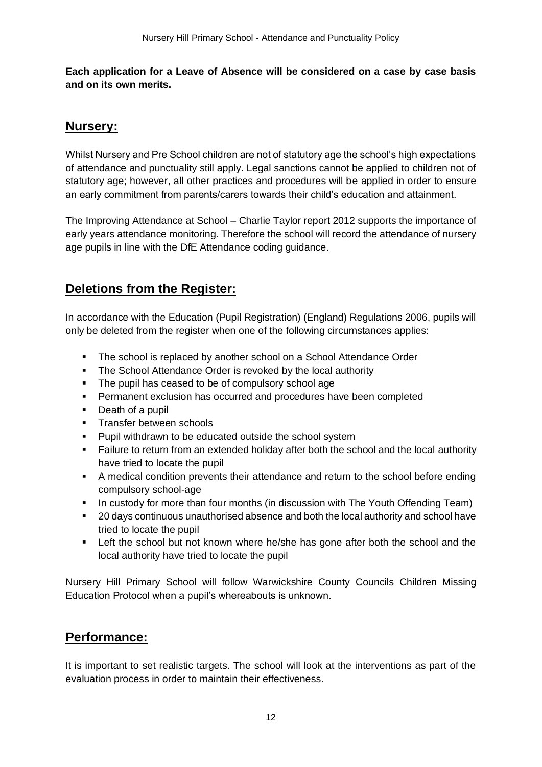**Each application for a Leave of Absence will be considered on a case by case basis and on its own merits.**

## <span id="page-11-1"></span>**Nursery:**

Whilst Nursery and Pre School children are not of statutory age the school's high expectations of attendance and punctuality still apply. Legal sanctions cannot be applied to children not of statutory age; however, all other practices and procedures will be applied in order to ensure an early commitment from parents/carers towards their child's education and attainment.

The Improving Attendance at School – Charlie Taylor report 2012 supports the importance of early years attendance monitoring. Therefore the school will record the attendance of nursery age pupils in line with the DfE Attendance coding guidance.

## <span id="page-11-2"></span>**Deletions from the Register:**

In accordance with the Education (Pupil Registration) (England) Regulations 2006, pupils will only be deleted from the register when one of the following circumstances applies:

- The school is replaced by another school on a School Attendance Order
- The School Attendance Order is revoked by the local authority
- The pupil has ceased to be of compulsory school age
- **•** Permanent exclusion has occurred and procedures have been completed
- Death of a pupil
- **EXEC** Transfer between schools
- Pupil withdrawn to be educated outside the school system
- Failure to return from an extended holiday after both the school and the local authority have tried to locate the pupil
- A medical condition prevents their attendance and return to the school before ending compulsory school-age
- **•** In custody for more than four months (in discussion with The Youth Offending Team)
- 20 days continuous unauthorised absence and both the local authority and school have tried to locate the pupil
- **EXECT** Left the school but not known where he/she has gone after both the school and the local authority have tried to locate the pupil

Nursery Hill Primary School will follow Warwickshire County Councils Children Missing Education Protocol when a pupil's whereabouts is unknown.

## <span id="page-11-0"></span>**Performance:**

It is important to set realistic targets. The school will look at the interventions as part of the evaluation process in order to maintain their effectiveness.